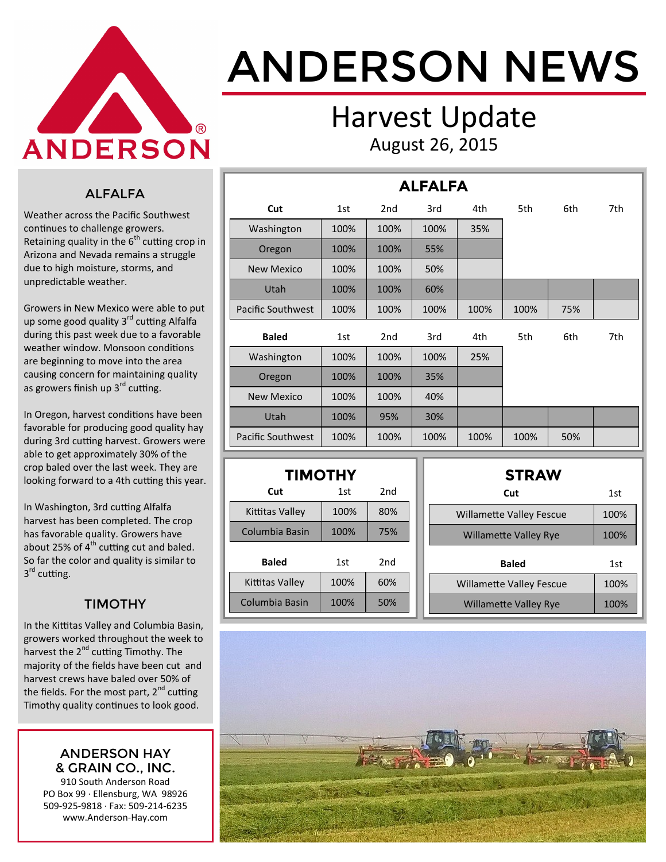

# ANDERSON NEWS

### Harvest Update August 26, 2015

#### ALFALFA

Weather across the Pacific Southwest continues to challenge growers. Retaining quality in the  $6<sup>th</sup>$  cutting crop in Arizona and Nevada remains a struggle due to high moisture, storms, and unpredictable weather.

Growers in New Mexico were able to put up some good quality 3<sup>rd</sup> cutting Alfalfa during this past week due to a favorable weather window. Monsoon conditions are beginning to move into the area causing concern for maintaining quality as growers finish up 3<sup>rd</sup> cutting.

In Oregon, harvest conditions have been favorable for producing good quality hay during 3rd cutting harvest. Growers were able to get approximately 30% of the crop baled over the last week. They are looking forward to a 4th cutting this year.

In Washington, 3rd cutting Alfalfa harvest has been completed. The crop has favorable quality. Growers have about 25% of  $4<sup>th</sup>$  cutting cut and baled. So far the color and quality is similar to 3<sup>rd</sup> cutting.

#### TIMOTHY

In the Kittitas Valley and Columbia Basin, growers worked throughout the week to harvest the  $2^{nd}$  cutting Timothy. The majority of the fields have been cut and harvest crews have baled over 50% of the fields. For the most part,  $2^{nd}$  cutting Timothy quality continues to look good.

#### ANDERSON HAY & GRAIN CO., INC.

910 South Anderson Road PO Box 99 · Ellensburg, WA 98926 509-925-9818 · Fax: 509-214-6235 www.Anderson-Hay.com

| <b>ALFALFA</b>           |      |                 |      |      |      |     |     |  |  |
|--------------------------|------|-----------------|------|------|------|-----|-----|--|--|
| Cut                      | 1st  | 2 <sub>nd</sub> | 3rd  | 4th  | 5th  | 6th | 7th |  |  |
| Washington               | 100% | 100%            | 100% | 35%  |      |     |     |  |  |
| Oregon                   | 100% | 100%            | 55%  |      |      |     |     |  |  |
| <b>New Mexico</b>        | 100% | 100%            | 50%  |      |      |     |     |  |  |
| Utah                     | 100% | 100%            | 60%  |      |      |     |     |  |  |
| <b>Pacific Southwest</b> | 100% | 100%            | 100% | 100% | 100% | 75% |     |  |  |
| <b>Baled</b>             | 1st  | 2 <sub>nd</sub> | 3rd  | 4th  | 5th  | 6th | 7th |  |  |
| Washington               | 100% | 100%            | 100% | 25%  |      |     |     |  |  |
| Oregon                   | 100% | 100%            | 35%  |      |      |     |     |  |  |
| <b>New Mexico</b>        | 100% | 100%            | 40%  |      |      |     |     |  |  |
| Utah                     | 100% | 95%             | 30%  |      |      |     |     |  |  |
| <b>Pacific Southwest</b> | 100% | 100%            | 100% | 100% | 100% | 50% |     |  |  |

| <b>TIMOTHY</b>  |      |                 |  |  |  |  |  |  |
|-----------------|------|-----------------|--|--|--|--|--|--|
| Cut             | 1st  | 2nd             |  |  |  |  |  |  |
| Kittitas Valley | 100% | 80%             |  |  |  |  |  |  |
| Columbia Basin  | 100% | 75%             |  |  |  |  |  |  |
| <b>Baled</b>    | 1st  | 2 <sub>nd</sub> |  |  |  |  |  |  |
| Kittitas Valley | 100% | 60%             |  |  |  |  |  |  |
| Columbia Basin  | 100% | 50%             |  |  |  |  |  |  |

| <b>STRAW</b>                    |      |  |  |  |  |  |
|---------------------------------|------|--|--|--|--|--|
| Cut                             | 1st  |  |  |  |  |  |
| <b>Willamette Valley Fescue</b> | 100% |  |  |  |  |  |
| <b>Willamette Valley Rye</b>    | 100% |  |  |  |  |  |
|                                 |      |  |  |  |  |  |
| <b>Baled</b>                    | 1st  |  |  |  |  |  |
| <b>Willamette Valley Fescue</b> | 100% |  |  |  |  |  |